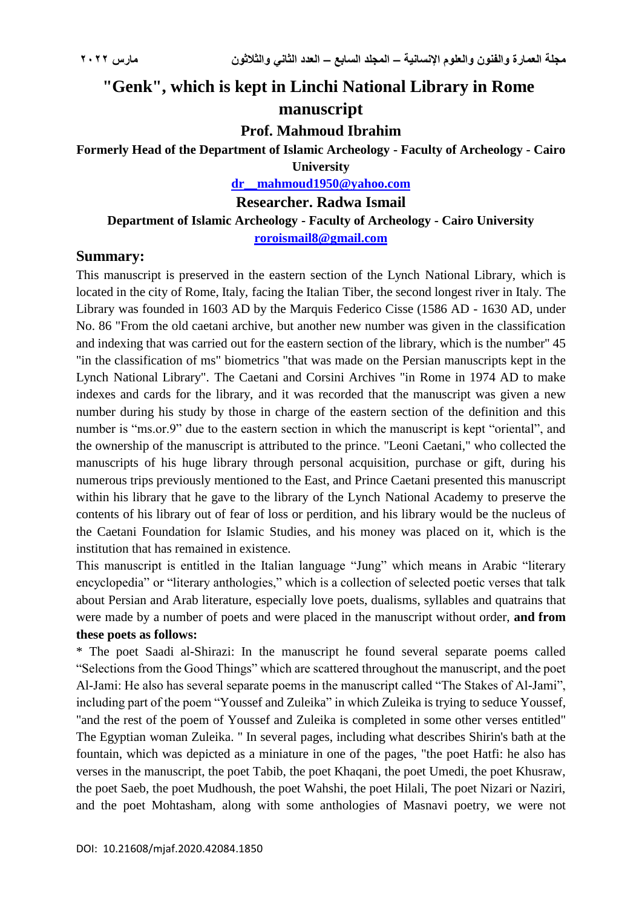# **"Genk", which is kept in Linchi National Library in Rome manuscript**

**Prof. Mahmoud Ibrahim**

**Formerly Head of the Department of Islamic Archeology - Faculty of Archeology - Cairo University**

**[dr\\_\\_mahmoud1950@yahoo.com](mailto:dr__mahmoud1950@yahoo.com)**

**Researcher. Radwa Ismail** 

**Department of Islamic Archeology - Faculty of Archeology - Cairo University [roroismail8@gmail.com](mailto:roroismail8@gmail.com)**

#### **Summary:**

This manuscript is preserved in the eastern section of the Lynch National Library, which is located in the city of Rome, Italy, facing the Italian Tiber, the second longest river in Italy. The Library was founded in 1603 AD by the Marquis Federico Cisse (1586 AD - 1630 AD, under No. 86 "From the old caetani archive, but another new number was given in the classification and indexing that was carried out for the eastern section of the library, which is the number" 45 "in the classification of ms" biometrics "that was made on the Persian manuscripts kept in the Lynch National Library". The Caetani and Corsini Archives "in Rome in 1974 AD to make indexes and cards for the library, and it was recorded that the manuscript was given a new number during his study by those in charge of the eastern section of the definition and this number is "ms.or.9" due to the eastern section in which the manuscript is kept "oriental", and the ownership of the manuscript is attributed to the prince. "Leoni Caetani," who collected the manuscripts of his huge library through personal acquisition, purchase or gift, during his numerous trips previously mentioned to the East, and Prince Caetani presented this manuscript within his library that he gave to the library of the Lynch National Academy to preserve the contents of his library out of fear of loss or perdition, and his library would be the nucleus of the Caetani Foundation for Islamic Studies, and his money was placed on it, which is the institution that has remained in existence.

This manuscript is entitled in the Italian language "Jung" which means in Arabic "literary encyclopedia" or "literary anthologies," which is a collection of selected poetic verses that talk about Persian and Arab literature, especially love poets, dualisms, syllables and quatrains that were made by a number of poets and were placed in the manuscript without order, **and from these poets as follows:**

\* The poet Saadi al-Shirazi: In the manuscript he found several separate poems called "Selections from the Good Things" which are scattered throughout the manuscript, and the poet Al-Jami: He also has several separate poems in the manuscript called "The Stakes of Al-Jami", including part of the poem "Youssef and Zuleika" in which Zuleika is trying to seduce Youssef, "and the rest of the poem of Youssef and Zuleika is completed in some other verses entitled" The Egyptian woman Zuleika. " In several pages, including what describes Shirin's bath at the fountain, which was depicted as a miniature in one of the pages, "the poet Hatfi: he also has verses in the manuscript, the poet Tabib, the poet Khaqani, the poet Umedi, the poet Khusraw, the poet Saeb, the poet Mudhoush, the poet Wahshi, the poet Hilali, The poet Nizari or Naziri, and the poet Mohtasham, along with some anthologies of Masnavi poetry, we were not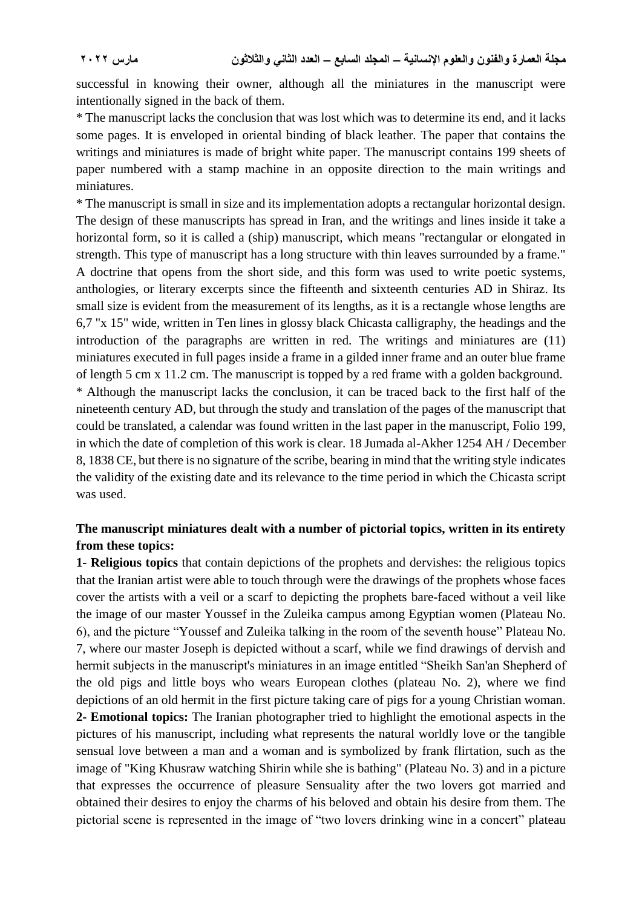successful in knowing their owner, although all the miniatures in the manuscript were intentionally signed in the back of them.

\* The manuscript lacks the conclusion that was lost which was to determine its end, and it lacks some pages. It is enveloped in oriental binding of black leather. The paper that contains the writings and miniatures is made of bright white paper. The manuscript contains 199 sheets of paper numbered with a stamp machine in an opposite direction to the main writings and miniatures.

\* The manuscript is small in size and its implementation adopts a rectangular horizontal design. The design of these manuscripts has spread in Iran, and the writings and lines inside it take a horizontal form, so it is called a (ship) manuscript, which means "rectangular or elongated in strength. This type of manuscript has a long structure with thin leaves surrounded by a frame." A doctrine that opens from the short side, and this form was used to write poetic systems, anthologies, or literary excerpts since the fifteenth and sixteenth centuries AD in Shiraz. Its small size is evident from the measurement of its lengths, as it is a rectangle whose lengths are 6,7 "x 15" wide, written in Ten lines in glossy black Chicasta calligraphy, the headings and the introduction of the paragraphs are written in red. The writings and miniatures are (11) miniatures executed in full pages inside a frame in a gilded inner frame and an outer blue frame of length 5 cm x 11.2 cm. The manuscript is topped by a red frame with a golden background. \* Although the manuscript lacks the conclusion, it can be traced back to the first half of the nineteenth century AD, but through the study and translation of the pages of the manuscript that could be translated, a calendar was found written in the last paper in the manuscript, Folio 199, in which the date of completion of this work is clear. 18 Jumada al-Akher 1254 AH / December 8, 1838 CE, but there is no signature of the scribe, bearing in mind that the writing style indicates the validity of the existing date and its relevance to the time period in which the Chicasta script was used.

### **The manuscript miniatures dealt with a number of pictorial topics, written in its entirety from these topics:**

**1- Religious topics** that contain depictions of the prophets and dervishes: the religious topics that the Iranian artist were able to touch through were the drawings of the prophets whose faces cover the artists with a veil or a scarf to depicting the prophets bare-faced without a veil like the image of our master Youssef in the Zuleika campus among Egyptian women (Plateau No. 6), and the picture "Youssef and Zuleika talking in the room of the seventh house" Plateau No. 7, where our master Joseph is depicted without a scarf, while we find drawings of dervish and hermit subjects in the manuscript's miniatures in an image entitled "Sheikh San'an Shepherd of the old pigs and little boys who wears European clothes (plateau No. 2), where we find depictions of an old hermit in the first picture taking care of pigs for a young Christian woman. **2- Emotional topics:** The Iranian photographer tried to highlight the emotional aspects in the pictures of his manuscript, including what represents the natural worldly love or the tangible sensual love between a man and a woman and is symbolized by frank flirtation, such as the image of "King Khusraw watching Shirin while she is bathing" (Plateau No. 3) and in a picture that expresses the occurrence of pleasure Sensuality after the two lovers got married and obtained their desires to enjoy the charms of his beloved and obtain his desire from them. The pictorial scene is represented in the image of "two lovers drinking wine in a concert" plateau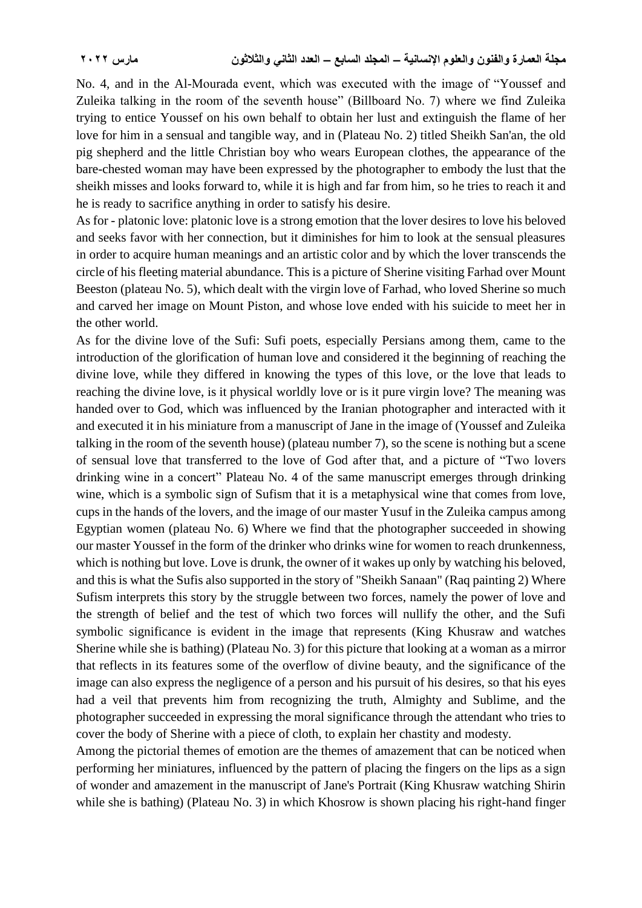No. 4, and in the Al-Mourada event, which was executed with the image of "Youssef and Zuleika talking in the room of the seventh house" (Billboard No. 7) where we find Zuleika trying to entice Youssef on his own behalf to obtain her lust and extinguish the flame of her love for him in a sensual and tangible way, and in (Plateau No. 2) titled Sheikh San'an, the old pig shepherd and the little Christian boy who wears European clothes, the appearance of the bare-chested woman may have been expressed by the photographer to embody the lust that the sheikh misses and looks forward to, while it is high and far from him, so he tries to reach it and he is ready to sacrifice anything in order to satisfy his desire.

As for - platonic love: platonic love is a strong emotion that the lover desires to love his beloved and seeks favor with her connection, but it diminishes for him to look at the sensual pleasures in order to acquire human meanings and an artistic color and by which the lover transcends the circle of his fleeting material abundance. This is a picture of Sherine visiting Farhad over Mount Beeston (plateau No. 5), which dealt with the virgin love of Farhad, who loved Sherine so much and carved her image on Mount Piston, and whose love ended with his suicide to meet her in the other world.

As for the divine love of the Sufi: Sufi poets, especially Persians among them, came to the introduction of the glorification of human love and considered it the beginning of reaching the divine love, while they differed in knowing the types of this love, or the love that leads to reaching the divine love, is it physical worldly love or is it pure virgin love? The meaning was handed over to God, which was influenced by the Iranian photographer and interacted with it and executed it in his miniature from a manuscript of Jane in the image of (Youssef and Zuleika talking in the room of the seventh house) (plateau number 7), so the scene is nothing but a scene of sensual love that transferred to the love of God after that, and a picture of "Two lovers drinking wine in a concert" Plateau No. 4 of the same manuscript emerges through drinking wine, which is a symbolic sign of Sufism that it is a metaphysical wine that comes from love, cups in the hands of the lovers, and the image of our master Yusuf in the Zuleika campus among Egyptian women (plateau No. 6) Where we find that the photographer succeeded in showing our master Youssef in the form of the drinker who drinks wine for women to reach drunkenness, which is nothing but love. Love is drunk, the owner of it wakes up only by watching his beloved, and this is what the Sufis also supported in the story of "Sheikh Sanaan" (Raq painting 2) Where Sufism interprets this story by the struggle between two forces, namely the power of love and the strength of belief and the test of which two forces will nullify the other, and the Sufi symbolic significance is evident in the image that represents (King Khusraw and watches Sherine while she is bathing) (Plateau No. 3) for this picture that looking at a woman as a mirror that reflects in its features some of the overflow of divine beauty, and the significance of the image can also express the negligence of a person and his pursuit of his desires, so that his eyes had a veil that prevents him from recognizing the truth, Almighty and Sublime, and the photographer succeeded in expressing the moral significance through the attendant who tries to cover the body of Sherine with a piece of cloth, to explain her chastity and modesty.

Among the pictorial themes of emotion are the themes of amazement that can be noticed when performing her miniatures, influenced by the pattern of placing the fingers on the lips as a sign of wonder and amazement in the manuscript of Jane's Portrait (King Khusraw watching Shirin while she is bathing) (Plateau No. 3) in which Khosrow is shown placing his right-hand finger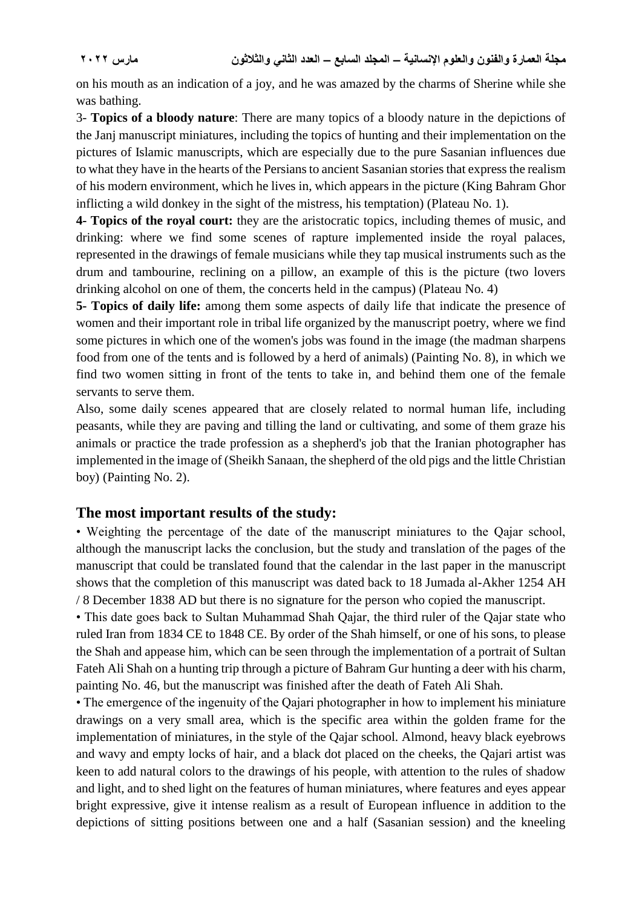on his mouth as an indication of a joy, and he was amazed by the charms of Sherine while she was bathing.

3- **Topics of a bloody nature**: There are many topics of a bloody nature in the depictions of the Janj manuscript miniatures, including the topics of hunting and their implementation on the pictures of Islamic manuscripts, which are especially due to the pure Sasanian influences due to what they have in the hearts of the Persians to ancient Sasanian stories that express the realism of his modern environment, which he lives in, which appears in the picture (King Bahram Ghor inflicting a wild donkey in the sight of the mistress, his temptation) (Plateau No. 1).

**4- Topics of the royal court:** they are the aristocratic topics, including themes of music, and drinking: where we find some scenes of rapture implemented inside the royal palaces, represented in the drawings of female musicians while they tap musical instruments such as the drum and tambourine, reclining on a pillow, an example of this is the picture (two lovers drinking alcohol on one of them, the concerts held in the campus) (Plateau No. 4)

**5- Topics of daily life:** among them some aspects of daily life that indicate the presence of women and their important role in tribal life organized by the manuscript poetry, where we find some pictures in which one of the women's jobs was found in the image (the madman sharpens food from one of the tents and is followed by a herd of animals) (Painting No. 8), in which we find two women sitting in front of the tents to take in, and behind them one of the female servants to serve them.

Also, some daily scenes appeared that are closely related to normal human life, including peasants, while they are paving and tilling the land or cultivating, and some of them graze his animals or practice the trade profession as a shepherd's job that the Iranian photographer has implemented in the image of (Sheikh Sanaan, the shepherd of the old pigs and the little Christian boy) (Painting No. 2).

### **The most important results of the study:**

• Weighting the percentage of the date of the manuscript miniatures to the Qajar school, although the manuscript lacks the conclusion, but the study and translation of the pages of the manuscript that could be translated found that the calendar in the last paper in the manuscript shows that the completion of this manuscript was dated back to 18 Jumada al-Akher 1254 AH / 8 December 1838 AD but there is no signature for the person who copied the manuscript.

• This date goes back to Sultan Muhammad Shah Qajar, the third ruler of the Qajar state who ruled Iran from 1834 CE to 1848 CE. By order of the Shah himself, or one of his sons, to please the Shah and appease him, which can be seen through the implementation of a portrait of Sultan Fateh Ali Shah on a hunting trip through a picture of Bahram Gur hunting a deer with his charm, painting No. 46, but the manuscript was finished after the death of Fateh Ali Shah.

• The emergence of the ingenuity of the Qajari photographer in how to implement his miniature drawings on a very small area, which is the specific area within the golden frame for the implementation of miniatures, in the style of the Qajar school. Almond, heavy black eyebrows and wavy and empty locks of hair, and a black dot placed on the cheeks, the Qajari artist was keen to add natural colors to the drawings of his people, with attention to the rules of shadow and light, and to shed light on the features of human miniatures, where features and eyes appear bright expressive, give it intense realism as a result of European influence in addition to the depictions of sitting positions between one and a half (Sasanian session) and the kneeling